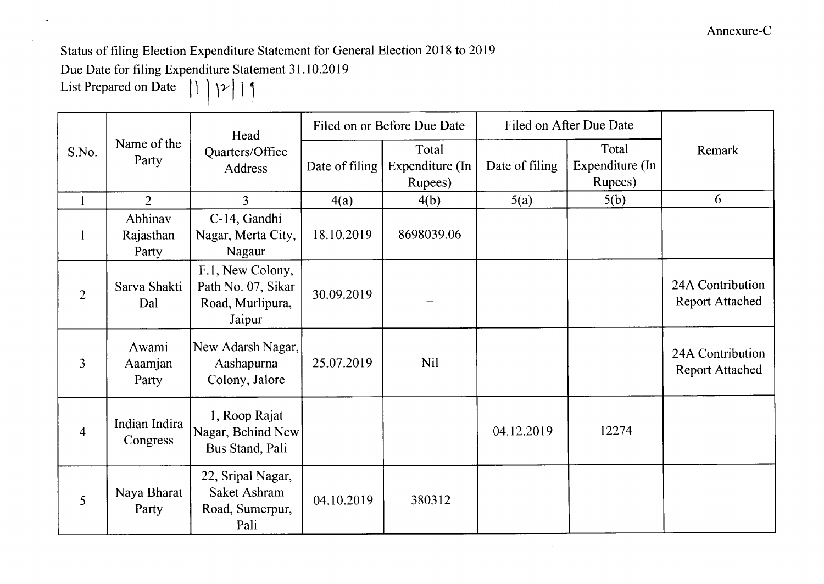Status of filing Election Expenditure Statement for General Election 2018 to 2019

Due Date for filing Expenditure Statement 31.10.2019

List Prepared on Date  $\left| \begin{array}{c} \vert \end{array} \right|$   $\left| \begin{array}{c} \rangle \end{array}$ 

| S.No.          | Name of the<br>Party          | Head<br>Quarters/Office<br>Address                                   | Filed on or Before Due Date |                                     | Filed on After Due Date |                                     |                                            |
|----------------|-------------------------------|----------------------------------------------------------------------|-----------------------------|-------------------------------------|-------------------------|-------------------------------------|--------------------------------------------|
|                |                               |                                                                      | Date of filing              | Total<br>Expenditure (In<br>Rupees) | Date of filing          | Total<br>Expenditure (In<br>Rupees) | Remark                                     |
| $\mathbf{1}$   | $\overline{2}$                | $\overline{3}$                                                       | 4(a)                        | 4(b)                                | 5(a)                    | 5(b)                                | 6                                          |
| $\mathbf{1}$   | Abhinav<br>Rajasthan<br>Party | C-14, Gandhi<br>Nagar, Merta City,<br>Nagaur                         | 18.10.2019                  | 8698039.06                          |                         |                                     |                                            |
| $\overline{2}$ | Sarva Shakti<br>Dal           | F.1, New Colony,<br>Path No. 07, Sikar<br>Road, Murlipura,<br>Jaipur | 30.09.2019                  |                                     |                         |                                     | 24A Contribution<br><b>Report Attached</b> |
| 3              | Awami<br>Aaamjan<br>Party     | New Adarsh Nagar,<br>Aashapurna<br>Colony, Jalore                    | 25.07.2019                  | <b>Nil</b>                          |                         |                                     | 24A Contribution<br><b>Report Attached</b> |
| $\overline{4}$ | Indian Indira<br>Congress     | 1, Roop Rajat<br>Nagar, Behind New<br>Bus Stand, Pali                |                             |                                     | 04.12.2019              | 12274                               |                                            |
| 5              | Naya Bharat<br>Party          | 22, Sripal Nagar,<br>Saket Ashram<br>Road, Sumerpur,<br>Pali         | 04.10.2019                  | 380312                              |                         |                                     |                                            |